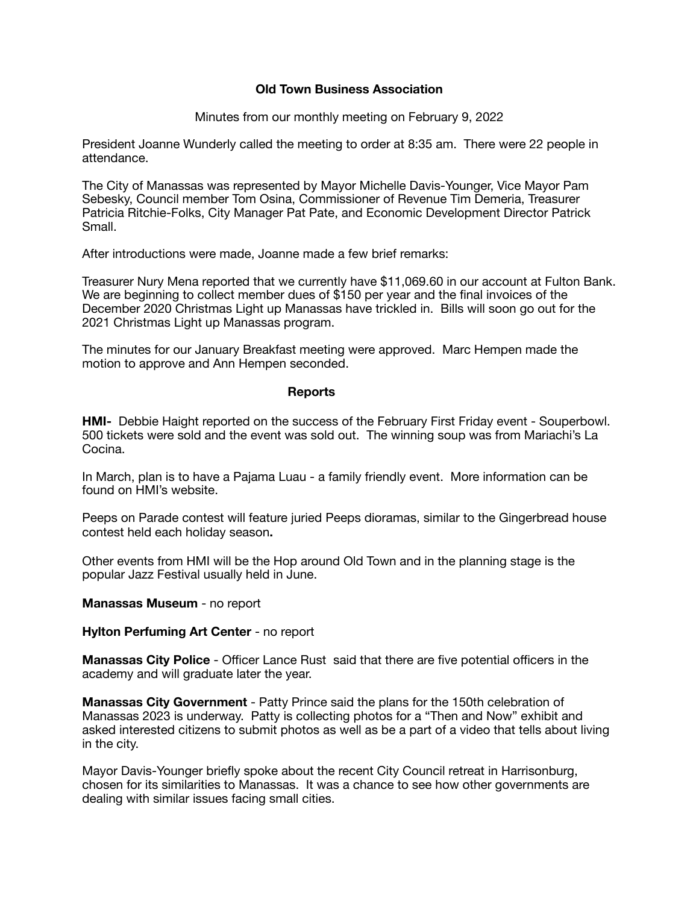## **Old Town Business Association**

Minutes from our monthly meeting on February 9, 2022

President Joanne Wunderly called the meeting to order at 8:35 am. There were 22 people in attendance.

The City of Manassas was represented by Mayor Michelle Davis-Younger, Vice Mayor Pam Sebesky, Council member Tom Osina, Commissioner of Revenue Tim Demeria, Treasurer Patricia Ritchie-Folks, City Manager Pat Pate, and Economic Development Director Patrick Small.

After introductions were made, Joanne made a few brief remarks:

Treasurer Nury Mena reported that we currently have \$11,069.60 in our account at Fulton Bank. We are beginning to collect member dues of \$150 per year and the final invoices of the December 2020 Christmas Light up Manassas have trickled in. Bills will soon go out for the 2021 Christmas Light up Manassas program.

The minutes for our January Breakfast meeting were approved. Marc Hempen made the motion to approve and Ann Hempen seconded.

## **Reports**

**HMI-** Debbie Haight reported on the success of the February First Friday event - Souperbowl. 500 tickets were sold and the event was sold out. The winning soup was from Mariachi's La Cocina.

In March, plan is to have a Pajama Luau - a family friendly event. More information can be found on HMI's website.

Peeps on Parade contest will feature juried Peeps dioramas, similar to the Gingerbread house contest held each holiday season**.** 

Other events from HMI will be the Hop around Old Town and in the planning stage is the popular Jazz Festival usually held in June.

## **Manassas Museum** - no report

## **Hylton Perfuming Art Center** - no report

**Manassas City Police** - Officer Lance Rust said that there are five potential officers in the academy and will graduate later the year.

**Manassas City Government** - Patty Prince said the plans for the 150th celebration of Manassas 2023 is underway. Patty is collecting photos for a "Then and Now" exhibit and asked interested citizens to submit photos as well as be a part of a video that tells about living in the city.

Mayor Davis-Younger briefly spoke about the recent City Council retreat in Harrisonburg, chosen for its similarities to Manassas. It was a chance to see how other governments are dealing with similar issues facing small cities.